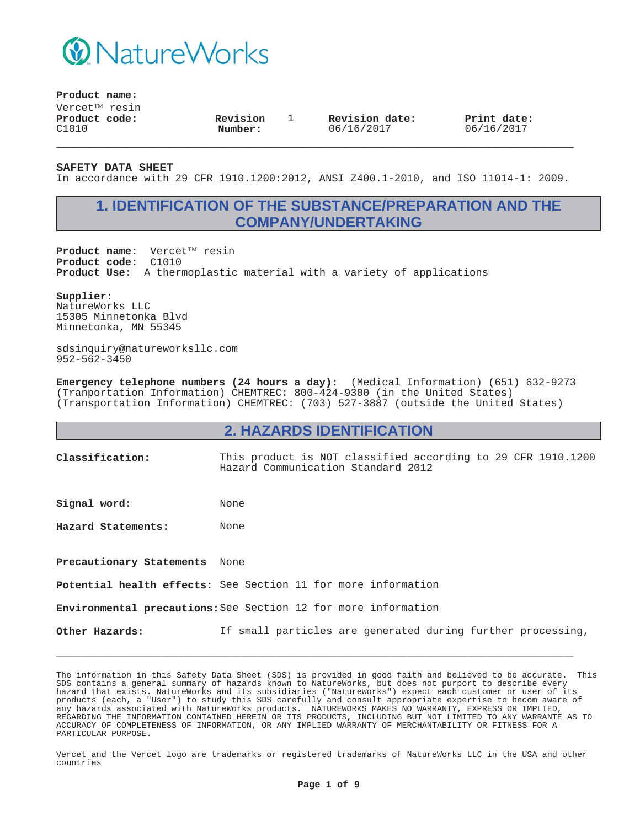

### **Product name:**

 $V$ ercet $^{TM}$  resin **Product code:** C1010

**Revision Number:**

1 **Revision date:** 06/16/2017

**Print date:** 06/16/2017

**SAFETY DATA SHEET**

In accordance with 29 CFR 1910.1200:2012, ANSI Z400.1-2010, and ISO 11014-1: 2009.

**\_\_\_\_\_\_\_\_\_\_\_\_\_\_\_\_\_\_\_\_\_\_\_\_\_\_\_\_\_\_\_\_\_\_\_\_\_\_\_\_\_\_\_\_\_\_\_\_\_\_\_\_\_\_\_\_\_\_\_**

## **1. IDENTIFICATION OF THE SUBSTANCE/PREPARATION AND THE COMPANY/UNDERTAKING**

Product name: Vercet<sup>TM</sup> resin **Product code:** C1010 **Product Use:** A thermoplastic material with a variety of applications

#### **Supplier:**

NatureWorks LLC 15305 Minnetonka Blvd Minnetonka, MN 55345

sdsinquiry@natureworksllc.com 952-562-3450

**Emergency telephone numbers (24 hours a day):** (Medical Information) (651) 632-9273 (Tranportation Information) CHEMTREC: 800-424-9300 (in the United States) (Transportation Information) CHEMTREC: (703) 527-3887 (outside the United States)

### **2. HAZARDS IDENTIFICATION**

**Classification:** This product is NOT classified according to 29 CFR 1910.1200 Hazard Communication Standard 2012

Signal word: None

**Hazard Statements:** None

**Precautionary Statements** None

**Potential health effects:** See Section 11 for more information

**Environmental precautions:**See Section 12 for more information

**Other Hazards:** If small particles are generated during further processing,

**\_\_\_\_\_\_\_\_\_\_\_\_\_\_\_\_\_\_\_\_\_\_\_\_\_\_\_\_\_\_\_\_\_\_\_\_\_\_\_\_\_\_\_\_\_\_\_\_\_\_\_\_\_\_\_\_\_\_\_**

The information in this Safety Data Sheet (SDS) is provided in good faith and believed to be accurate. This SDS contains a general summary of hazards known to NatureWorks, but does not purport to describe every hazard that exists. NatureWorks and its subsidiaries ("NatureWorks") expect each customer or user of its products (each, a "User") to study this SDS carefully and consult appropriate expertise to becom aware of any hazards associated with NatureWorks products. NATUREWORKS MAKES NO WARRANTY, EXPRESS OR IMPLIED, REGARDING THE INFORMATION CONTAINED HEREIN OR ITS PRODUCTS, INCLUDING BUT NOT LIMITED TO ANY WARRANTE AS TO ACCURACY OF COMPLETENESS OF INFORMATION, OR ANY IMPLIED WARRANTY OF MERCHANTABILITY OR FITNESS FOR A PARTICULAR PURPOSE.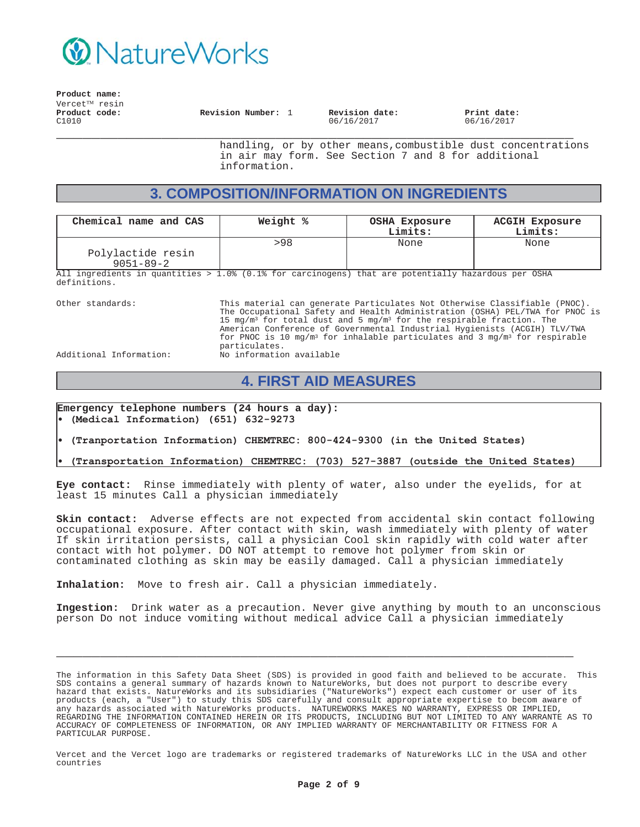

**Product name:** Vercet<sup>TM</sup> resin **\_\_\_\_\_\_\_\_\_\_\_\_\_\_\_\_\_\_\_\_\_\_\_\_\_\_\_\_\_\_\_\_\_\_\_\_\_\_\_\_\_\_\_\_\_\_\_\_\_\_\_\_\_\_\_\_\_\_\_ Product code:** C1010 **Revision Number:** 1 **Revision date:** 06/16/2017 **Print date:** 06/16/2017

handling, or by other means,combustible dust concentrations in air may form. See Section 7 and 8 for additional information.

## **3. COMPOSITION/INFORMATION ON INGREDIENTS**

| Chemical name and CAS                                                                               | Weight % | <b>OSHA Exposure</b><br>Limits: | <b>ACGIH Exposure</b><br>Limits: |  |
|-----------------------------------------------------------------------------------------------------|----------|---------------------------------|----------------------------------|--|
|                                                                                                     | >98      | None                            | None                             |  |
| Polylactide resin                                                                                   |          |                                 |                                  |  |
| $9051 - 89 - 2$                                                                                     |          |                                 |                                  |  |
| All ingredients in quantities > 1 0% (0 1% for garginogens) that are notentially hazardous per OSHA |          |                                 |                                  |  |

1.0% (0.1% for carcinogens) that are potentially hazardous per OSHA definitions.

Other standards: This material can generate Particulates Not Otherwise Classifiable (PNOC). The Occupational Safety and Health Administration (OSHA) PEL/TWA for PNOC is 15 mg/m<sup>3</sup> for total dust and 5 mg/m<sup>3</sup> for the respirable fraction. The American Conference of Governmental Industrial Hygienists (ACGIH) TLV/TWA for PNOC is 10 mg/m<sup>3</sup> for inhalable particulates and 3 mg/m<sup>3</sup> for respirable particulates.

Additional Information: No information available

## **4. FIRST AID MEASURES**

**Emergency telephone numbers (24 hours a day):** (Medical Information) (651) 632-9273

(Tranportation Information) CHEMTREC: 800-424-9300 (in the United States)

(Transportation Information) CHEMTREC: (703) 527-3887 (outside the United States)

**Eye contact:** Rinse immediately with plenty of water, also under the eyelids, for at least 15 minutes Call a physician immediately

**Skin contact:** Adverse effects are not expected from accidental skin contact following occupational exposure. After contact with skin, wash immediately with plenty of water If skin irritation persists, call a physician Cool skin rapidly with cold water after contact with hot polymer. DO NOT attempt to remove hot polymer from skin or contaminated clothing as skin may be easily damaged. Call a physician immediately

**Inhalation:** Move to fresh air. Call a physician immediately.

**Ingestion:** Drink water as a precaution. Never give anything by mouth to an unconscious person Do not induce vomiting without medical advice Call a physician immediately

**\_\_\_\_\_\_\_\_\_\_\_\_\_\_\_\_\_\_\_\_\_\_\_\_\_\_\_\_\_\_\_\_\_\_\_\_\_\_\_\_\_\_\_\_\_\_\_\_\_\_\_\_\_\_\_\_\_\_\_**

The information in this Safety Data Sheet (SDS) is provided in good faith and believed to be accurate. This SDS contains a general summary of hazards known to NatureWorks, but does not purport to describe every hazard that exists. NatureWorks and its subsidiaries ("NatureWorks") expect each customer or user of its products (each, a "User") to study this SDS carefully and consult appropriate expertise to becom aware of any hazards associated with NatureWorks products. NATUREWORKS MAKES NO WARRANTY, EXPRESS OR IMPLIED, REGARDING THE INFORMATION CONTAINED HEREIN OR ITS PRODUCTS, INCLUDING BUT NOT LIMITED TO ANY WARRANTE AS TO ACCURACY OF COMPLETENESS OF INFORMATION, OR ANY IMPLIED WARRANTY OF MERCHANTABILITY OR FITNESS FOR A PARTICULAR PURPOSE.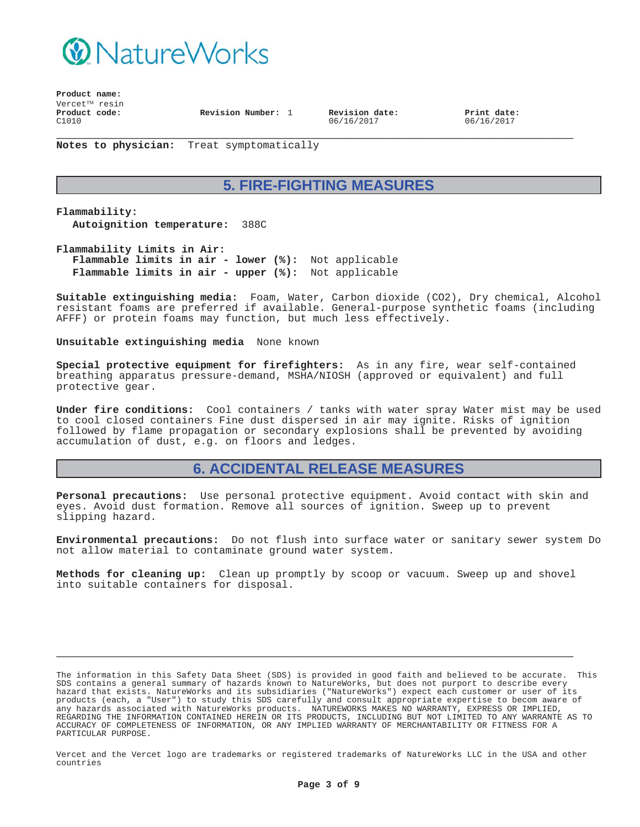

**Product name:**  $V$ ercet $T^M$  resin **\_\_\_\_\_\_\_\_\_\_\_\_\_\_\_\_\_\_\_\_\_\_\_\_\_\_\_\_\_\_\_\_\_\_\_\_\_\_\_\_\_\_\_\_\_\_\_\_\_\_\_\_\_\_\_\_\_\_\_ Product code:** C1010 **Revision Number:** 1 **Revision date:**

06/16/2017

**Print date:** 06/16/2017

**Notes to physician:** Treat symptomatically

# **5. FIRE-FIGHTING MEASURES**

**Flammability: Autoignition temperature:** 388C

**Flammability Limits in Air: Flammable limits in air - lower (%):** Not applicable **Flammable limits in air - upper (%):** Not applicable

**Suitable extinguishing media:** Foam, Water, Carbon dioxide (CO2), Dry chemical, Alcohol resistant foams are preferred if available. General-purpose synthetic foams (including AFFF) or protein foams may function, but much less effectively.

**Unsuitable extinguishing media** None known

**Special protective equipment for firefighters:** As in any fire, wear self-contained breathing apparatus pressure-demand, MSHA/NIOSH (approved or equivalent) and full protective gear.

**Under fire conditions:** Cool containers / tanks with water spray Water mist may be used to cool closed containers Fine dust dispersed in air may ignite. Risks of ignition followed by flame propagation or secondary explosions shall be prevented by avoiding accumulation of dust, e.g. on floors and ledges.

## **6. ACCIDENTAL RELEASE MEASURES**

**Personal precautions:** Use personal protective equipment. Avoid contact with skin and eyes. Avoid dust formation. Remove all sources of ignition. Sweep up to prevent slipping hazard.

**Environmental precautions:** Do not flush into surface water or sanitary sewer system Do not allow material to contaminate ground water system.

**Methods for cleaning up:** Clean up promptly by scoop or vacuum. Sweep up and shovel into suitable containers for disposal.

**\_\_\_\_\_\_\_\_\_\_\_\_\_\_\_\_\_\_\_\_\_\_\_\_\_\_\_\_\_\_\_\_\_\_\_\_\_\_\_\_\_\_\_\_\_\_\_\_\_\_\_\_\_\_\_\_\_\_\_**

The information in this Safety Data Sheet (SDS) is provided in good faith and believed to be accurate. This SDS contains a general summary of hazards known to NatureWorks, but does not purport to describe every hazard that exists. NatureWorks and its subsidiaries ("NatureWorks") expect each customer or user of its products (each, a "User") to study this SDS carefully and consult appropriate expertise to becom aware of any hazards associated with NatureWorks products. NATUREWORKS MAKES NO WARRANTY, EXPRESS OR IMPLIED, REGARDING THE INFORMATION CONTAINED HEREIN OR ITS PRODUCTS, INCLUDING BUT NOT LIMITED TO ANY WARRANTE AS TO ACCURACY OF COMPLETENESS OF INFORMATION, OR ANY IMPLIED WARRANTY OF MERCHANTABILITY OR FITNESS FOR A PARTICULAR PURPOSE.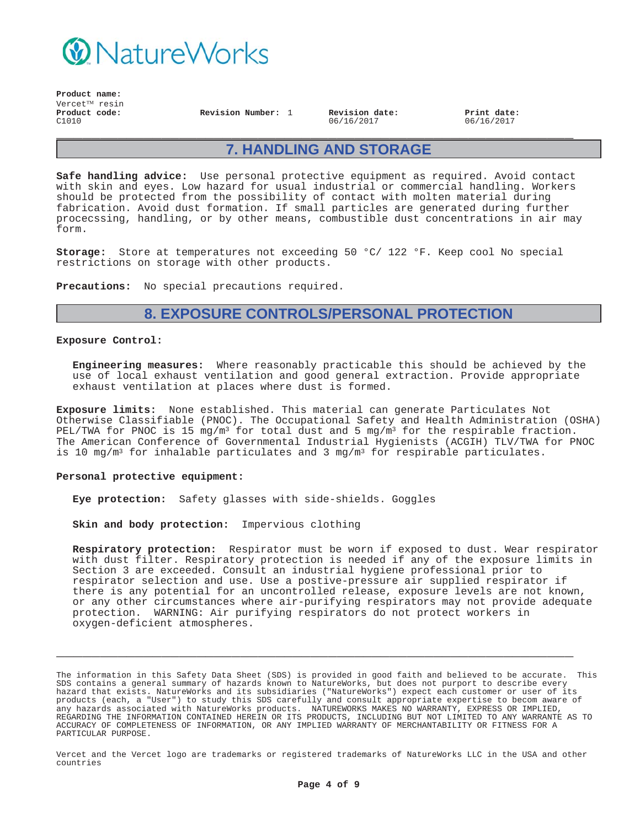

**Product name:**  $V$ ercet $T^M$  resin **Product code:** C1010

**Revision Number:** 1 **Revision date:** 06/16/2017

**Print date:** 06/16/2017

## **7. HANDLING AND STORAGE**

**\_\_\_\_\_\_\_\_\_\_\_\_\_\_\_\_\_\_\_\_\_\_\_\_\_\_\_\_\_\_\_\_\_\_\_\_\_\_\_\_\_\_\_\_\_\_\_\_\_\_\_\_\_\_\_\_\_\_\_**

**Safe handling advice:** Use personal protective equipment as required. Avoid contact with skin and eyes. Low hazard for usual industrial or commercial handling. Workers should be protected from the possibility of contact with molten material during fabrication. Avoid dust formation. If small particles are generated during further procecssing, handling, or by other means, combustible dust concentrations in air may form.

**Storage:** Store at temperatures not exceeding 50 °C/ 122 °F. Keep cool No special restrictions on storage with other products.

**Precautions:** No special precautions required.

## **8. EXPOSURE CONTROLS/PERSONAL PROTECTION**

#### **Exposure Control:**

**Engineering measures:** Where reasonably practicable this should be achieved by the use of local exhaust ventilation and good general extraction. Provide appropriate exhaust ventilation at places where dust is formed.

**Exposure limits:** None established. This material can generate Particulates Not Otherwise Classifiable (PNOC). The Occupational Safety and Health Administration (OSHA) PEL/TWA for PNOC is 15 mg/m<sup>3</sup> for total dust and 5 mg/m<sup>3</sup> for the respirable fraction. The American Conference of Governmental Industrial Hygienists (ACGIH) TLV/TWA for PNOC is 10 mg/m<sup>3</sup> for inhalable particulates and 3 mg/m<sup>3</sup> for respirable particulates.

#### **Personal protective equipment:**

**Eye protection:** Safety glasses with side-shields. Goggles

**Skin and body protection:** Impervious clothing

**Respiratory protection:** Respirator must be worn if exposed to dust. Wear respirator with dust filter. Respiratory protection is needed if any of the exposure limits in Section 3 are exceeded. Consult an industrial hygiene professional prior to respirator selection and use. Use a postive-pressure air supplied respirator if there is any potential for an uncontrolled release, exposure levels are not known, or any other circumstances where air-purifying respirators may not provide adequate protection. WARNING: Air purifying respirators do not protect workers in oxygen-deficient atmospheres.

The information in this Safety Data Sheet (SDS) is provided in good faith and believed to be accurate. This SDS contains a general summary of hazards known to NatureWorks, but does not purport to describe every hazard that exists. NatureWorks and its subsidiaries ("NatureWorks") expect each customer or user of its products (each, a "User") to study this SDS carefully and consult appropriate expertise to becom aware of any hazards associated with NatureWorks products. NATUREWORKS MAKES NO WARRANTY, EXPRESS OR IMPLIED, REGARDING THE INFORMATION CONTAINED HEREIN OR ITS PRODUCTS, INCLUDING BUT NOT LIMITED TO ANY WARRANTE AS TO ACCURACY OF COMPLETENESS OF INFORMATION, OR ANY IMPLIED WARRANTY OF MERCHANTABILITY OR FITNESS FOR A PARTICULAR PURPOSE.

**\_\_\_\_\_\_\_\_\_\_\_\_\_\_\_\_\_\_\_\_\_\_\_\_\_\_\_\_\_\_\_\_\_\_\_\_\_\_\_\_\_\_\_\_\_\_\_\_\_\_\_\_\_\_\_\_\_\_\_**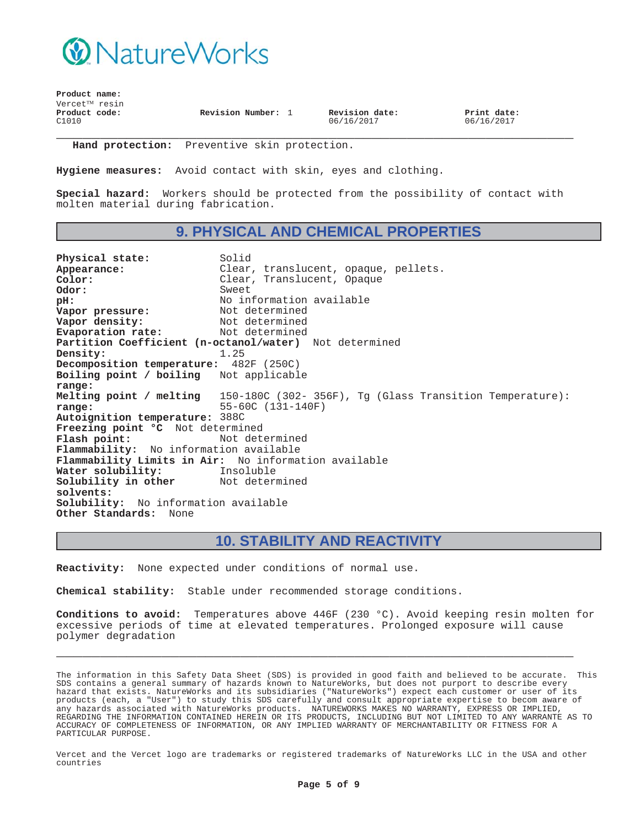

| Product name:              |                    |                              |                           |
|----------------------------|--------------------|------------------------------|---------------------------|
| Vercet <sup>TM</sup> resin |                    |                              |                           |
| Product code:<br>C1010     | Revision Number: 1 | Revision date:<br>06/16/2017 | Print date:<br>06/16/2017 |
|                            |                    |                              |                           |

**Hand protection:** Preventive skin protection.

**Hygiene measures:** Avoid contact with skin, eyes and clothing.

**Special hazard:** Workers should be protected from the possibility of contact with molten material during fabrication.

## **9. PHYSICAL AND CHEMICAL PROPERTIES**

Physical state: Solid Appearance: Clear, translucent, opaque, pellets.<br>
Color: Clear, Translucent, Opaque **Color:** Clear, Translucent, Opaque **Odor:** Sweet<br> **DH:** No in No information available<br>Not determined **Vapor pressure:**<br>Vapor density: Not determined<br>Not determined **Evaporation rate: Partition Coefficient (n-octanol/water)** Not determined **Density:** 1.25 **Decomposition temperature:** 482F (250C) **Boiling point / boiling range:** Not applicable **Melting point / melting range:** 150-180C (302- 356F), Tg (Glass Transition Temperature): 55-60C (131-140F) **Autoignition temperature:** 388C **Freezing point °C** Not determined Flash point: Not determined **Flammability:** No information available **Flammability Limits in Air:** No information available **Water solubility:** Insoluble **Solubility in other solvents:** Not determined **Solubility:** No information available **Other Standards:** None

### **10. STABILITY AND REACTIVITY**

**Reactivity:** None expected under conditions of normal use.

**Chemical stability:** Stable under recommended storage conditions.

**Conditions to avoid:** Temperatures above 446F (230 °C). Avoid keeping resin molten for excessive periods of time at elevated temperatures. Prolonged exposure will cause polymer degradation

**\_\_\_\_\_\_\_\_\_\_\_\_\_\_\_\_\_\_\_\_\_\_\_\_\_\_\_\_\_\_\_\_\_\_\_\_\_\_\_\_\_\_\_\_\_\_\_\_\_\_\_\_\_\_\_\_\_\_\_**

The information in this Safety Data Sheet (SDS) is provided in good faith and believed to be accurate. This SDS contains a general summary of hazards known to NatureWorks, but does not purport to describe every hazard that exists. NatureWorks and its subsidiaries ("NatureWorks") expect each customer or user of its products (each, a "User") to study this SDS carefully and consult appropriate expertise to becom aware of any hazards associated with NatureWorks products. NATUREWORKS MAKES NO WARRANTY, EXPRESS OR IMPLIED, REGARDING THE INFORMATION CONTAINED HEREIN OR ITS PRODUCTS, INCLUDING BUT NOT LIMITED TO ANY WARRANTE AS TO ACCURACY OF COMPLETENESS OF INFORMATION, OR ANY IMPLIED WARRANTY OF MERCHANTABILITY OR FITNESS FOR A PARTICULAR PURPOSE.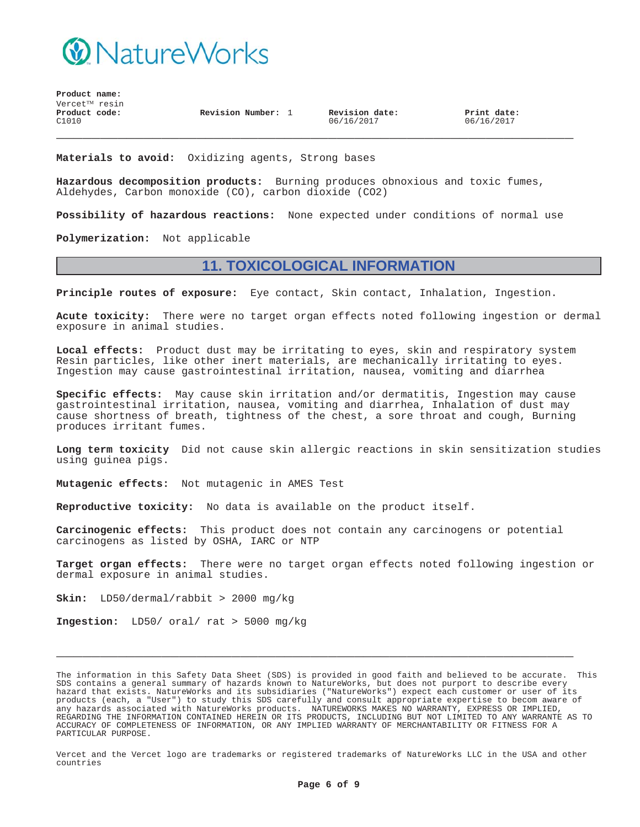

**Product name:** Vercet<sup>™</sup> resin **Product code:** C1010

**Revision Number:** 1 **Revision date:**

06/16/2017

**Print date:** 06/16/2017

**Materials to avoid:** Oxidizing agents, Strong bases

**Hazardous decomposition products:** Burning produces obnoxious and toxic fumes, Aldehydes, Carbon monoxide (CO), carbon dioxide (CO2)

**Possibility of hazardous reactions:** None expected under conditions of normal use

**\_\_\_\_\_\_\_\_\_\_\_\_\_\_\_\_\_\_\_\_\_\_\_\_\_\_\_\_\_\_\_\_\_\_\_\_\_\_\_\_\_\_\_\_\_\_\_\_\_\_\_\_\_\_\_\_\_\_\_**

**Polymerization:** Not applicable

## **11. TOXICOLOGICAL INFORMATION**

**Principle routes of exposure:** Eye contact, Skin contact, Inhalation, Ingestion.

**Acute toxicity:** There were no target organ effects noted following ingestion or dermal exposure in animal studies.

**Local effects:** Product dust may be irritating to eyes, skin and respiratory system Resin particles, like other inert materials, are mechanically irritating to eyes. Ingestion may cause gastrointestinal irritation, nausea, vomiting and diarrhea

**Specific effects:** May cause skin irritation and/or dermatitis, Ingestion may cause gastrointestinal irritation, nausea, vomiting and diarrhea, Inhalation of dust may cause shortness of breath, tightness of the chest, a sore throat and cough, Burning produces irritant fumes.

**Long term toxicity** Did not cause skin allergic reactions in skin sensitization studies using guinea pigs.

**Mutagenic effects:** Not mutagenic in AMES Test

**Reproductive toxicity:** No data is available on the product itself.

**Carcinogenic effects:** This product does not contain any carcinogens or potential carcinogens as listed by OSHA, IARC or NTP

**Target organ effects:** There were no target organ effects noted following ingestion or dermal exposure in animal studies.

**Skin:** LD50/dermal/rabbit > 2000 mg/kg

**Ingestion:** LD50/ oral/ rat > 5000 mg/kg

The information in this Safety Data Sheet (SDS) is provided in good faith and believed to be accurate. This SDS contains a general summary of hazards known to NatureWorks, but does not purport to describe every hazard that exists. NatureWorks and its subsidiaries ("NatureWorks") expect each customer or user of its products (each, a "User") to study this SDS carefully and consult appropriate expertise to becom aware of any hazards associated with NatureWorks products. NATUREWORKS MAKES NO WARRANTY, EXPRESS OR IMPLIED, REGARDING THE INFORMATION CONTAINED HEREIN OR ITS PRODUCTS, INCLUDING BUT NOT LIMITED TO ANY WARRANTE AS TO ACCURACY OF COMPLETENESS OF INFORMATION, OR ANY IMPLIED WARRANTY OF MERCHANTABILITY OR FITNESS FOR A PARTICULAR PURPOSE.

**\_\_\_\_\_\_\_\_\_\_\_\_\_\_\_\_\_\_\_\_\_\_\_\_\_\_\_\_\_\_\_\_\_\_\_\_\_\_\_\_\_\_\_\_\_\_\_\_\_\_\_\_\_\_\_\_\_\_\_**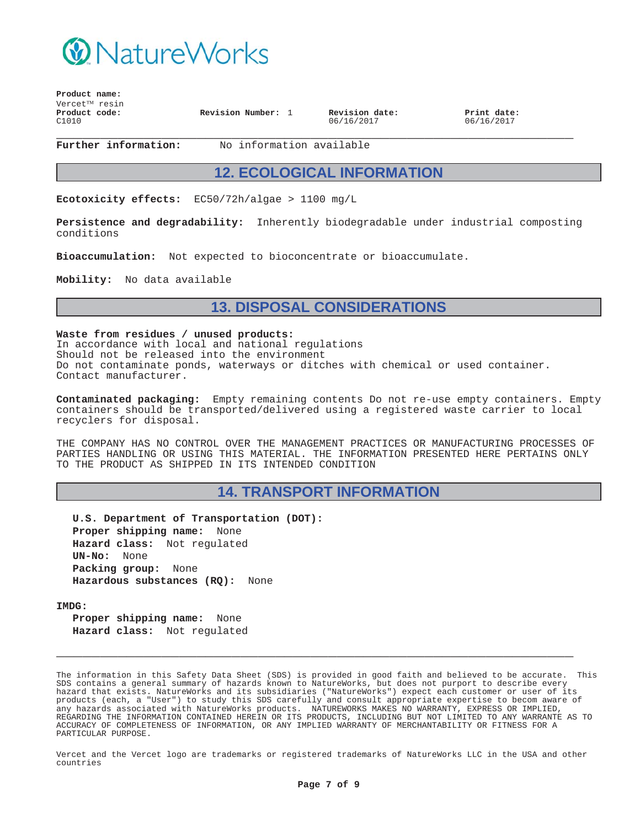

| $V$ ercet $^{TM}$ resin<br>Product code:<br>C1010 | Revision Number: 1 | Revision date:<br>06/16/2017 | Print date:<br>06/16/2017 |
|---------------------------------------------------|--------------------|------------------------------|---------------------------|
|---------------------------------------------------|--------------------|------------------------------|---------------------------|

**Product name:**

**Further information:** No information available

### **12. ECOLOGICAL INFORMATION**

**Ecotoxicity effects:** EC50/72h/algae > 1100 mg/L

**Persistence and degradability:** Inherently biodegradable under industrial composting conditions

**Bioaccumulation:** Not expected to bioconcentrate or bioaccumulate.

**Mobility:** No data available

### **13. DISPOSAL CONSIDERATIONS**

**Waste from residues / unused products:** In accordance with local and national regulations Should not be released into the environment Do not contaminate ponds, waterways or ditches with chemical or used container. Contact manufacturer.

**Contaminated packaging:** Empty remaining contents Do not re-use empty containers. Empty containers should be transported/delivered using a registered waste carrier to local recyclers for disposal.

THE COMPANY HAS NO CONTROL OVER THE MANAGEMENT PRACTICES OR MANUFACTURING PROCESSES OF PARTIES HANDLING OR USING THIS MATERIAL. THE INFORMATION PRESENTED HERE PERTAINS ONLY TO THE PRODUCT AS SHIPPED IN ITS INTENDED CONDITION

## **14. TRANSPORT INFORMATION**

**U.S. Department of Transportation (DOT): Proper shipping name:** None **Hazard class:** Not regulated **UN-No:** None **Packing group:** None **Hazardous substances (RQ):** None

**IMDG:**

**Proper shipping name:** None **Hazard class:** Not regulated

The information in this Safety Data Sheet (SDS) is provided in good faith and believed to be accurate. This SDS contains a general summary of hazards known to NatureWorks, but does not purport to describe every hazard that exists. NatureWorks and its subsidiaries ("NatureWorks") expect each customer or user of its products (each, a "User") to study this SDS carefully and consult appropriate expertise to becom aware of any hazards associated with NatureWorks products. NATUREWORKS MAKES NO WARRANTY, EXPRESS OR IMPLIED, REGARDING THE INFORMATION CONTAINED HEREIN OR ITS PRODUCTS, INCLUDING BUT NOT LIMITED TO ANY WARRANTE AS TO ACCURACY OF COMPLETENESS OF INFORMATION, OR ANY IMPLIED WARRANTY OF MERCHANTABILITY OR FITNESS FOR A PARTICULAR PURPOSE.

**\_\_\_\_\_\_\_\_\_\_\_\_\_\_\_\_\_\_\_\_\_\_\_\_\_\_\_\_\_\_\_\_\_\_\_\_\_\_\_\_\_\_\_\_\_\_\_\_\_\_\_\_\_\_\_\_\_\_\_**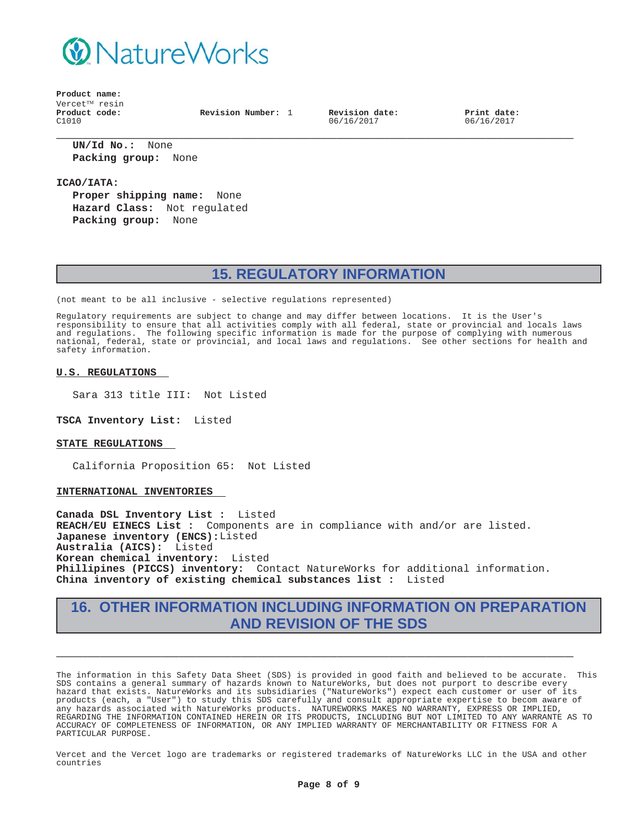

**Product name:** Vercet<sup>™</sup> resin **Product code:** C1010

**Revision Number:** 1 **Revision date:**

06/16/2017

**Print date:** 06/16/2017

**\_\_\_\_\_\_\_\_\_\_\_\_\_\_\_\_\_\_\_\_\_\_\_\_\_\_\_\_\_\_\_\_\_\_\_\_\_\_\_\_\_\_\_\_\_\_\_\_\_\_\_\_\_\_\_\_\_\_\_ UN/Id No.:** None **Packing group:** None

**ICAO/IATA:**

**Proper shipping name:** None **Hazard Class:** Not regulated **Packing group:** None

# **15. REGULATORY INFORMATION**

(not meant to be all inclusive - selective regulations represented)

Regulatory requirements are subject to change and may differ between locations. It is the User's responsibility to ensure that all activities comply with all federal, state or provincial and locals laws and regulations. The following specific information is made for the purpose of complying with numerous national, federal, state or provincial, and local laws and regulations. See other sections for health and safety information.

### **U.S. REGULATIONS**

Sara 313 title III: Not Listed

**TSCA Inventory List:** Listed

#### **STATE REGULATIONS**

California Proposition 65: Not Listed

#### **INTERNATIONAL INVENTORIES**

**Canada DSL Inventory List :** Listed **REACH/EU EINECS List :** Components are in compliance with and/or are listed. **Japanese inventory (ENCS):**Listed **Australia (AICS):** Listed **Korean chemical inventory:** Listed **Phillipines (PICCS) inventory:** Contact NatureWorks for additional information. **China inventory of existing chemical substances list :** Listed

## **16. OTHER INFORMATION INCLUDING INFORMATION ON PREPARATION AND REVISION OF THE SDS**

**\_\_\_\_\_\_\_\_\_\_\_\_\_\_\_\_\_\_\_\_\_\_\_\_\_\_\_\_\_\_\_\_\_\_\_\_\_\_\_\_\_\_\_\_\_\_\_\_\_\_\_\_\_\_\_\_\_\_\_**

The information in this Safety Data Sheet (SDS) is provided in good faith and believed to be accurate. This SDS contains a general summary of hazards known to NatureWorks, but does not purport to describe every hazard that exists. NatureWorks and its subsidiaries ("NatureWorks") expect each customer or user of its products (each, a "User") to study this SDS carefully and consult appropriate expertise to becom aware of any hazards associated with NatureWorks products. NATUREWORKS MAKES NO WARRANTY, EXPRESS OR IMPLIED, REGARDING THE INFORMATION CONTAINED HEREIN OR ITS PRODUCTS, INCLUDING BUT NOT LIMITED TO ANY WARRANTE AS TO ACCURACY OF COMPLETENESS OF INFORMATION, OR ANY IMPLIED WARRANTY OF MERCHANTABILITY OR FITNESS FOR A PARTICULAR PURPOSE.